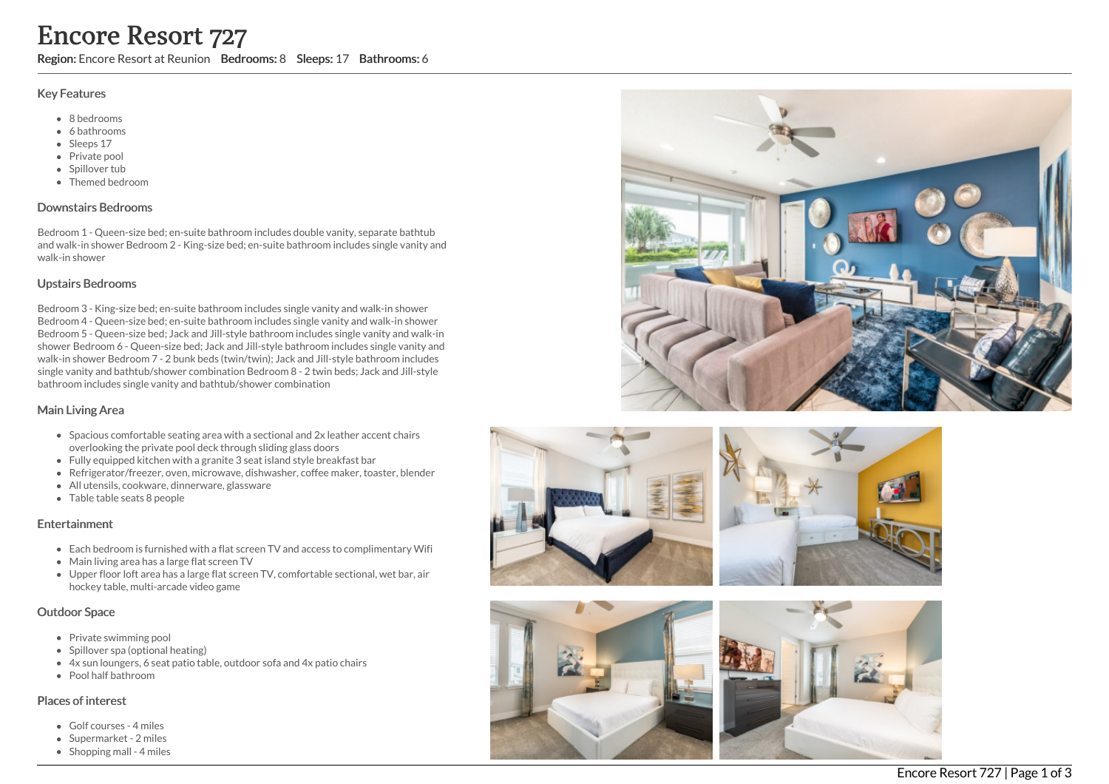# Encore Resort 727

Region: Encore Resort at Reunion Bedrooms: 8 Sleeps: 17 Bathrooms: 6

#### Key Features

- 8 b e d r o o m s
- 6 bathrooms
- Sleeps 17
- Private pool
- Spillover tub
- Themed bedr o o m

### Downstairs Bedrooms

Bedroom 1 - Queen-size bed; en-suite bathroom includes double vanity, separate bathtub and walk-in shower Bedroom 2 - King-size bed; en-suite bathroom includes single vanity and walk-in shower

#### Upstairs Bedrooms

Bedroom 3 - King-size bed; en-suite bathroom includes single vanity and walk-in shower Bedroom 4 - Queen-size bed; en-suite bathroom includes single vanity and walk-in shower Bedroom 5 - Queen-size bed; Jack and Jill-style bathroom includes single vanity and walk-in shower Bedroom 6 - Queen-size bed; Jack and Jill-style bathroom includes single vanity and walk-in shower Bedroom 7 - 2 bunk beds (twin/twin); Jack and Jill-style bathroom includes single vanity and bathtub/shower combination Bedroom 8 - 2 twin beds; Jack and Jill-style bathroom includes single vanity and bathtub/shower combination

## Main Living Area

- Spacious comfortable seating area with a sectional and 2x leather accent chairs overlooking the private pool deck through sliding glass doors
- Fully equipped kitchen with a granite 3 seat island style breakfast bar
- Refrigerator/freezer, oven, microwave, dishwasher, coffee maker, toaster, blender
- All utensils, cookware, dinnerware, glassware
- Table table seats 8 people

## **Entertainment**

- Each bedroom is furnished with a flat screen TV and access to complimentary Wifi
- Main living area has a large flat screen TV
- Upper floor loft area has a large flat screen TV, comfortable sectional, wet bar, air hockey table, multi-arcade video game

#### Outdoor Space

- Private swimming pool
- Spillover spa (optional heating)
- 4x sun loungers, 6 seat patio table, outdoor sofa and 4x patio chairs
- Pool half bathroom

## Places of interest

- Golf courses 4 miles
- Supermarket 2 miles
- Shopping mall 4 miles







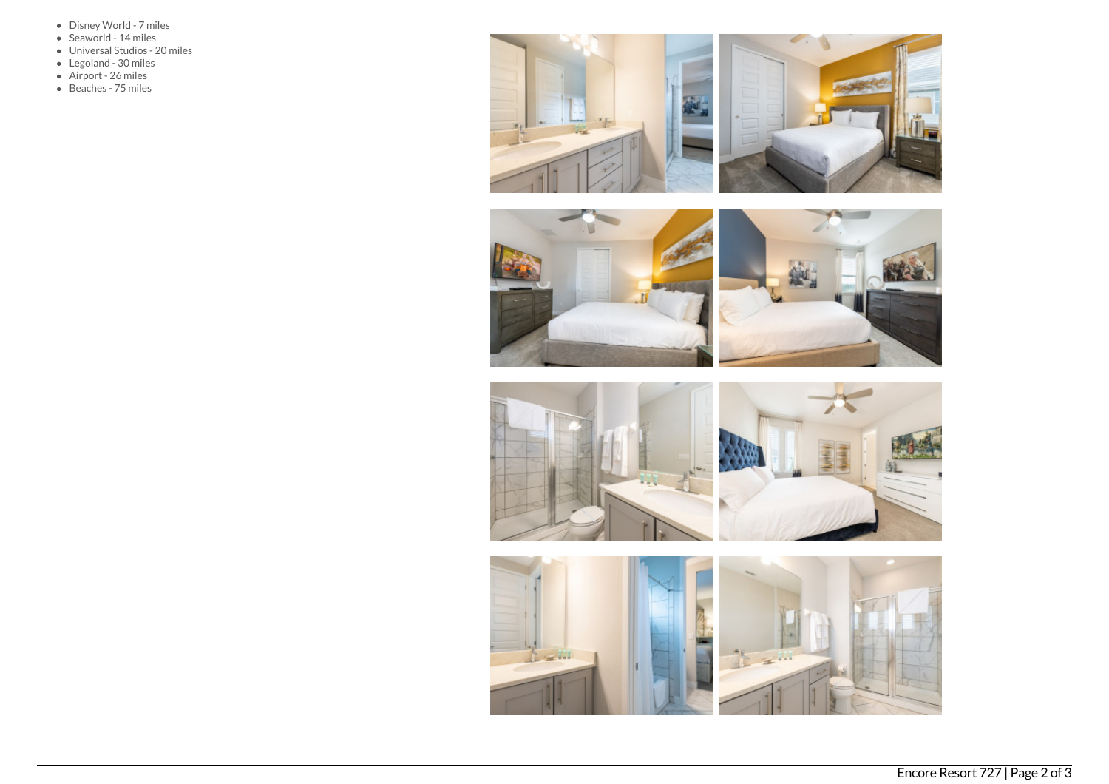- Disney World 7 miles
- Seaworld 14 miles
- Universal Studios 20 miles
- Legoland 30 miles
- Airport 26 miles
- Beaches 75 miles